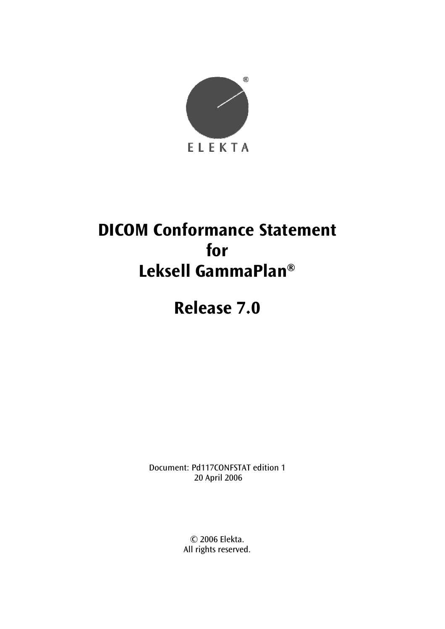

# **DICOM Conformance Statement for Leksell GammaPlan®**

# **Release 7.0**

Document: Pd117CONFSTAT edition 1 20 April 2006

> © 2006 Elekta. All rights reserved.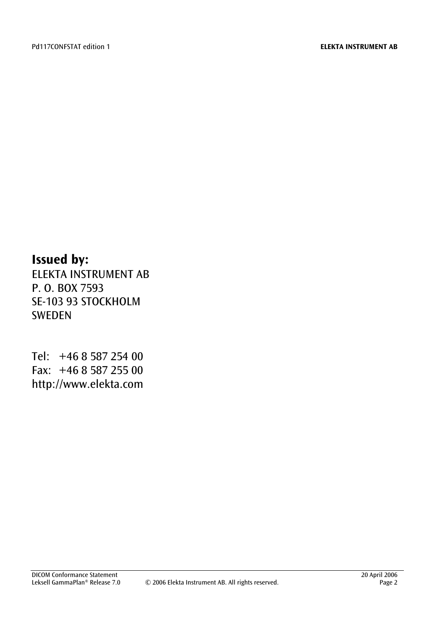## **Issued by:**

ELEKTA INSTRUMENT AB P. O. BOX 7593 SE-103 93 STOCKHOLM SWEDEN

Tel: +46 8 587 254 00 Fax: +46 8 587 255 00 http://www.elekta.com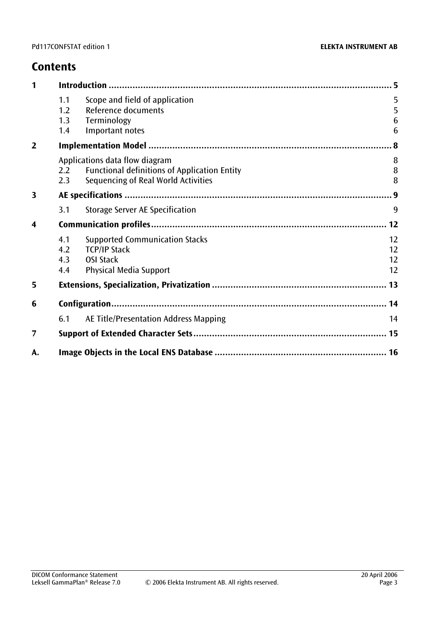## **Contents**

| 1                       |                          |                                                                                                                              |                      |  |
|-------------------------|--------------------------|------------------------------------------------------------------------------------------------------------------------------|----------------------|--|
|                         | 1.1<br>1.2<br>1.3<br>1.4 | Scope and field of application<br>Reference documents<br>Terminology<br>Important notes                                      | 5<br>5<br>6<br>6     |  |
| $\overline{2}$          |                          | $\boldsymbol{.8}$                                                                                                            |                      |  |
|                         | 2.2<br>2.3               | Applications data flow diagram<br><b>Functional definitions of Application Entity</b><br>Sequencing of Real World Activities | 8<br>8<br>8          |  |
| $\overline{\mathbf{3}}$ |                          |                                                                                                                              |                      |  |
|                         | 3.1                      | Storage Server AE Specification                                                                                              | 9                    |  |
| $\overline{\mathbf{4}}$ |                          |                                                                                                                              |                      |  |
|                         | 4.1<br>4.2<br>4.3<br>4.4 | <b>Supported Communication Stacks</b><br><b>TCP/IP Stack</b><br><b>OSI Stack</b><br><b>Physical Media Support</b>            | 12<br>12<br>12<br>12 |  |
| 5                       |                          |                                                                                                                              |                      |  |
| 6                       |                          |                                                                                                                              |                      |  |
|                         | 6.1                      | AE Title/Presentation Address Mapping                                                                                        | 14                   |  |
| $\overline{7}$          |                          |                                                                                                                              |                      |  |
| А.                      |                          |                                                                                                                              |                      |  |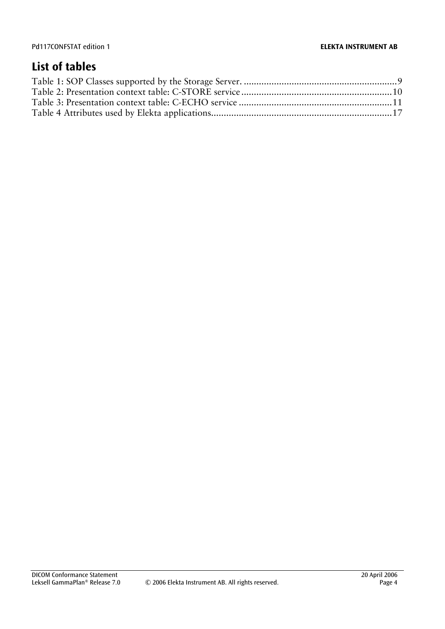## **List of tables**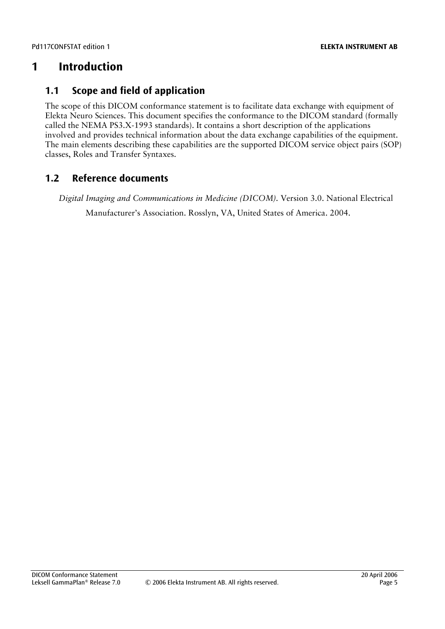## <span id="page-4-0"></span>**1 Introduction**

### <span id="page-4-1"></span>**1.1 Scope and field of application**

The scope of this DICOM conformance statement is to facilitate data exchange with equipment of Elekta Neuro Sciences. This document specifies the conformance to the DICOM standard (formally called the NEMA PS3.X-1993 standards). It contains a short description of the applications involved and provides technical information about the data exchange capabilities of the equipment. The main elements describing these capabilities are the supported DICOM service object pairs (SOP) classes, Roles and Transfer Syntaxes.

### **1.2 Reference documents**

<span id="page-4-2"></span>*Digital Imaging and Communications in Medicine (DICOM).* Version 3.0. National Electrical Manufacturer's Association. Rosslyn, VA, United States of America. 2004.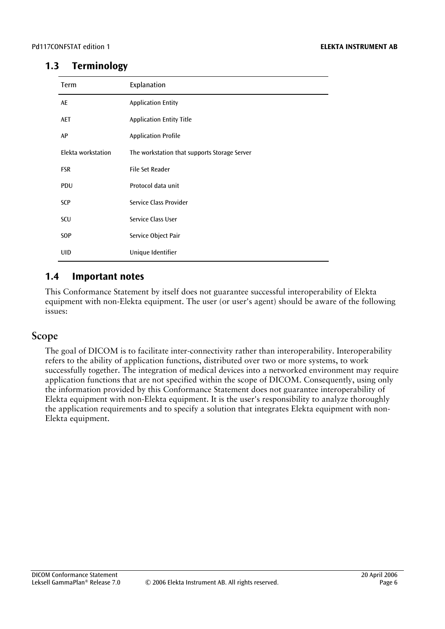#### **1.3 Terminology**

<span id="page-5-0"></span>

| Term               | Explanation                                  |
|--------------------|----------------------------------------------|
| AE                 | <b>Application Entity</b>                    |
| <b>AET</b>         | <b>Application Entity Title</b>              |
| AP                 | <b>Application Profile</b>                   |
| Elekta workstation | The workstation that supports Storage Server |
| <b>FSR</b>         | <b>File Set Reader</b>                       |
| <b>PDU</b>         | Protocol data unit                           |
| SCP                | Service Class Provider                       |
| SCU                | Service Class User                           |
| <b>SOP</b>         | Service Object Pair                          |
| <b>UID</b>         | Unique Identifier                            |

### <span id="page-5-1"></span>**1.4 Important notes**

This Conformance Statement by itself does not guarantee successful interoperability of Elekta equipment with non-Elekta equipment. The user (or user's agent) should be aware of the following issues:

#### **Scope**

The goal of DICOM is to facilitate inter-connectivity rather than interoperability. Interoperability refers to the ability of application functions, distributed over two or more systems, to work successfully together. The integration of medical devices into a networked environment may require application functions that are not specified within the scope of DICOM. Consequently, using only the information provided by this Conformance Statement does not guarantee interoperability of Elekta equipment with non-Elekta equipment. It is the user's responsibility to analyze thoroughly the application requirements and to specify a solution that integrates Elekta equipment with non-Elekta equipment.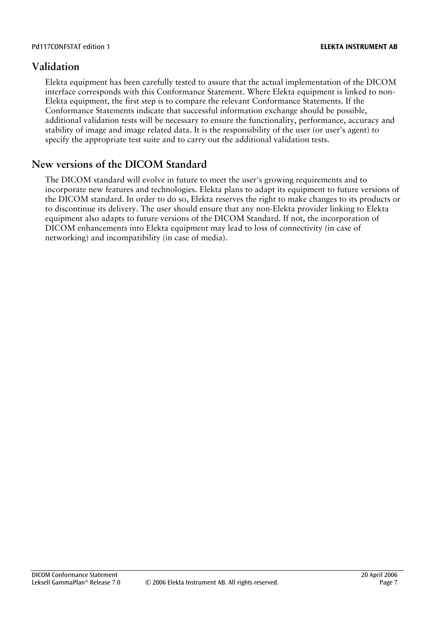#### **Validation**

Elekta equipment has been carefully tested to assure that the actual implementation of the DICOM interface corresponds with this Conformance Statement. Where Elekta equipment is linked to non-Elekta equipment, the first step is to compare the relevant Conformance Statements. If the Conformance Statements indicate that successful information exchange should be possible, additional validation tests will be necessary to ensure the functionality, performance, accuracy and stability of image and image related data. It is the responsibility of the user (or user's agent) to specify the appropriate test suite and to carry out the additional validation tests.

### **New versions of the DICOM Standard**

The DICOM standard will evolve in future to meet the user's growing requirements and to incorporate new features and technologies. Elekta plans to adapt its equipment to future versions of the DICOM standard. In order to do so, Elekta reserves the right to make changes to its products or to discontinue its delivery. The user should ensure that any non-Elekta provider linking to Elekta equipment also adapts to future versions of the DICOM Standard. If not, the incorporation of DICOM enhancements into Elekta equipment may lead to loss of connectivity (in case of networking) and incompatibility (in case of media).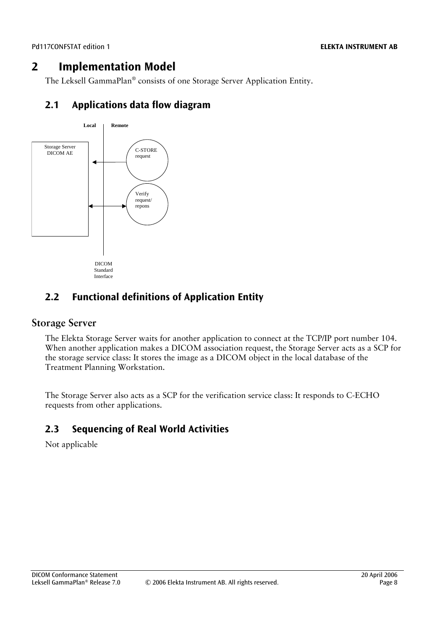## **2 Implementation Model**

<span id="page-7-0"></span>The Leksell GammaPlan® consists of one Storage Server Application Entity.

## <span id="page-7-1"></span>**2.1 Applications data flow diagram**



## <span id="page-7-2"></span>**2.2 Functional definitions of Application Entity**

#### **Storage Server**

The Elekta Storage Server waits for another application to connect at the TCP/IP port number 104. When another application makes a DICOM association request, the Storage Server acts as a SCP for the storage service class: It stores the image as a DICOM object in the local database of the Treatment Planning Workstation.

The Storage Server also acts as a SCP for the verification service class: It responds to C-ECHO requests from other applications.

## <span id="page-7-3"></span>**2.3 Sequencing of Real World Activities**

Not applicable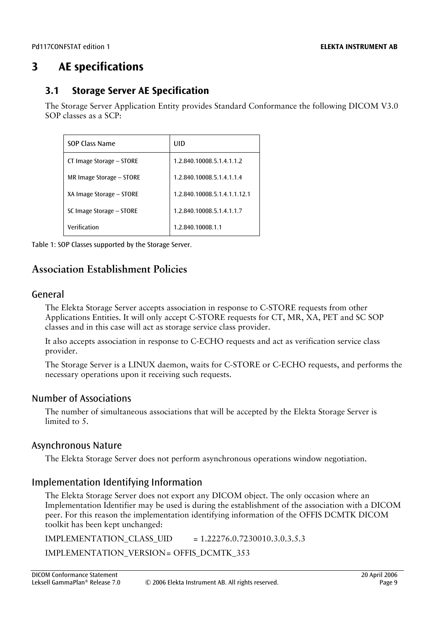## <span id="page-8-0"></span>**3 AE specifications**

### <span id="page-8-1"></span>**3.1 Storage Server AE Specification**

The Storage Server Application Entity provides Standard Conformance the following DICOM V3.0 SOP classes as a SCP:

| SOP Class Name           | UID                          |
|--------------------------|------------------------------|
| CT Image Storage - STORE | 1.2.840.10008.5.1.4.1.1.2    |
| MR Image Storage - STORE | 1.2.840.10008.5.1.4.1.1.4    |
| XA Image Storage - STORE | 1.2.840.10008.5.1.4.1.1.12.1 |
| SC Image Storage - STORE | 1.2.840.10008.5.1.4.1.1.7    |
| Verification             | 1.2.840.10008.1.1            |

<span id="page-8-2"></span>Table 1: SOP Classes supported by the Storage Server.

### **Association Establishment Policies**

#### General

The Elekta Storage Server accepts association in response to C-STORE requests from other Applications Entities. It will only accept C-STORE requests for CT, MR, XA, PET and SC SOP classes and in this case will act as storage service class provider.

It also accepts association in response to C-ECHO requests and act as verification service class provider.

The Storage Server is a LINUX daemon, waits for C-STORE or C-ECHO requests, and performs the necessary operations upon it receiving such requests.

#### Number of Associations

The number of simultaneous associations that will be accepted by the Elekta Storage Server is limited to 5.

#### Asynchronous Nature

The Elekta Storage Server does not perform asynchronous operations window negotiation.

#### Implementation Identifying Information

The Elekta Storage Server does not export any DICOM object. The only occasion where an Implementation Identifier may be used is during the establishment of the association with a DICOM peer. For this reason the implementation identifying information of the OFFIS DCMTK DICOM toolkit has been kept unchanged:

IMPLEMENTATION\_CLASS\_UID = 1.22276.0.7230010.3.0.3.5.3 IMPLEMENTATION\_VERSION = OFFIS\_DCMTK\_353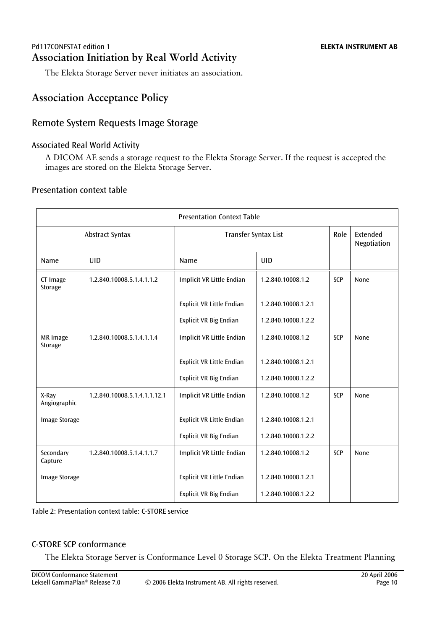#### Pd117CONFSTAT edition 1 **ELEKTA INSTRUMENT AB Association Initiation by Real World Activity**

The Elekta Storage Server never initiates an association.

## **Association Acceptance Policy**

#### Remote System Requests Image Storage

#### Associated Real World Activity

A DICOM AE sends a storage request to the Elekta Storage Server. If the request is accepted the images are stored on the Elekta Storage Server.

#### Presentation context table

| <b>Presentation Context Table</b> |                                                        |                                  |                     |            |                         |
|-----------------------------------|--------------------------------------------------------|----------------------------------|---------------------|------------|-------------------------|
|                                   | Abstract Syntax                                        | Transfer Syntax List             |                     | Role       | Extended<br>Negotiation |
| Name                              | <b>UID</b>                                             | Name                             | <b>UID</b>          |            |                         |
| CT Image<br>Storage               | Implicit VR Little Endian<br>1.2.840.10008.5.1.4.1.1.2 |                                  | 1.2.840.10008.1.2   | <b>SCP</b> | None                    |
|                                   |                                                        | Explicit VR Little Endian        | 1.2.840.10008.1.2.1 |            |                         |
|                                   |                                                        | <b>Explicit VR Big Endian</b>    | 1.2.840.10008.1.2.2 |            |                         |
| MR Image<br>Storage               | 1.2.840.10008.5.1.4.1.1.4                              | <b>Implicit VR Little Endian</b> | 1.2.840.10008.1.2   | <b>SCP</b> | None                    |
|                                   |                                                        | Explicit VR Little Endian        | 1.2.840.10008.1.2.1 |            |                         |
|                                   |                                                        | <b>Explicit VR Big Endian</b>    | 1.2.840.10008.1.2.2 |            |                         |
| X-Ray<br>Angiographic             | 1.2.840.10008.5.1.4.1.1.12.1                           | Implicit VR Little Endian        | 1.2.840.10008.1.2   | SCP        | None                    |
| <b>Image Storage</b>              |                                                        | Explicit VR Little Endian        | 1.2.840.10008.1.2.1 |            |                         |
|                                   |                                                        | <b>Explicit VR Big Endian</b>    | 1.2.840.10008.1.2.2 |            |                         |
| Secondary<br>Capture              | 1.2.840.10008.5.1.4.1.1.7                              | <b>Implicit VR Little Endian</b> | 1.2.840.10008.1.2   | <b>SCP</b> | None                    |
| <b>Image Storage</b>              |                                                        | Explicit VR Little Endian        | 1.2.840.10008.1.2.1 |            |                         |
|                                   |                                                        | <b>Explicit VR Big Endian</b>    | 1.2.840.10008.1.2.2 |            |                         |

<span id="page-9-0"></span>Table 2: Presentation context table: C-STORE service

#### C-STORE SCP conformance

The Elekta Storage Server is Conformance Level 0 Storage SCP. On the Elekta Treatment Planning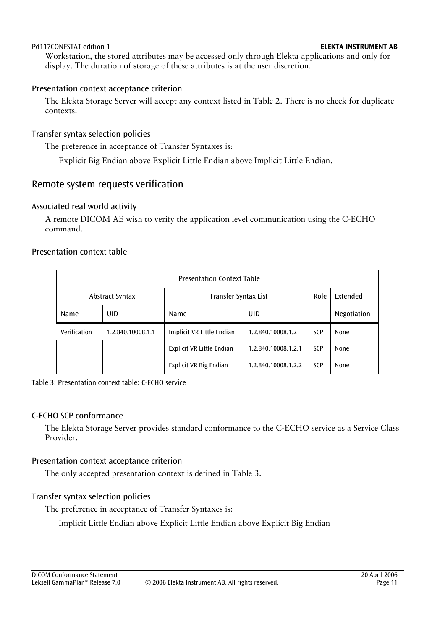Workstation, the stored attributes may be accessed only through Elekta applications and only for display. The duration of storage of these attributes is at the user discretion.

#### Presentation context acceptance criterion

The Elekta Storage Server will accept any context listed in [Table 2.](#page-9-0) There is no check for duplicate contexts.

#### Transfer syntax selection policies

The preference in acceptance of Transfer Syntaxes is:

Explicit Big Endian above Explicit Little Endian above Implicit Little Endian.

#### Remote system requests verification

#### Associated real world activity

A remote DICOM AE wish to verify the application level communication using the C-ECHO command.

#### Presentation context table

| <b>Presentation Context Table</b> |                   |                           |                     |            |             |
|-----------------------------------|-------------------|---------------------------|---------------------|------------|-------------|
| Abstract Syntax                   |                   | Transfer Syntax List      |                     | Role       | Extended    |
| <b>Name</b>                       | UID               | <b>Name</b>               | UID                 |            | Negotiation |
| Verification                      | 1.2.840.10008.1.1 | Implicit VR Little Endian | 1.2.840.10008.1.2   | <b>SCP</b> | <b>None</b> |
|                                   |                   | Explicit VR Little Endian | 1.2.840.10008.1.2.1 | <b>SCP</b> | <b>None</b> |
|                                   |                   | Explicit VR Big Endian    | 1.2.840.10008.1.2.2 | <b>SCP</b> | <b>None</b> |

<span id="page-10-0"></span>Table 3: Presentation context table: C-ECHO service

#### C-ECHO SCP conformance

The Elekta Storage Server provides standard conformance to the C-ECHO service as a Service Class Provider.

#### Presentation context acceptance criterion

The only accepted presentation context is defined in [Table 3.](#page-10-0)

#### Transfer syntax selection policies

The preference in acceptance of Transfer Syntaxes is:

Implicit Little Endian above Explicit Little Endian above Explicit Big Endian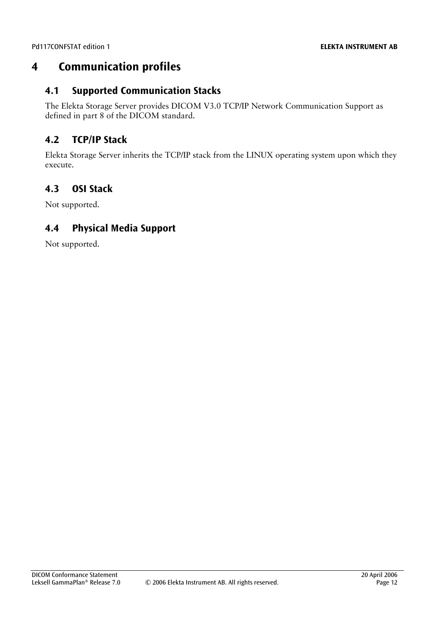## <span id="page-11-0"></span>**4 Communication profiles**

#### <span id="page-11-1"></span>**4.1 Supported Communication Stacks**

The Elekta Storage Server provides DICOM V3.0 TCP/IP Network Communication Support as defined in part 8 of the DICOM standard.

## <span id="page-11-2"></span>**4.2 TCP/IP Stack**

Elekta Storage Server inherits the TCP/IP stack from the LINUX operating system upon which they execute.

## <span id="page-11-3"></span>**4.3 OSI Stack**

Not supported.

## <span id="page-11-4"></span>**4.4 Physical Media Support**

Not supported.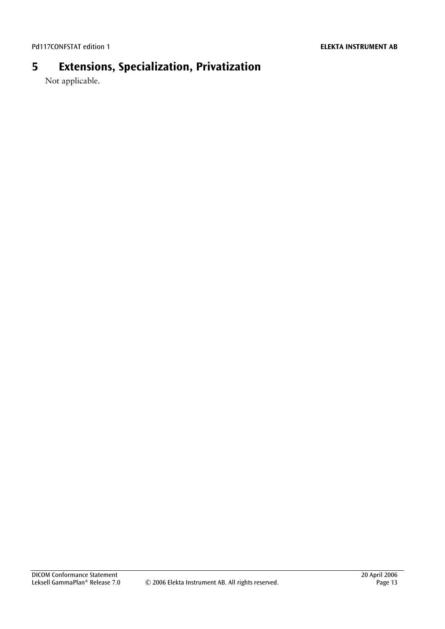## **5 Extensions, Specialization, Privatization**

<span id="page-12-0"></span>Not applicable.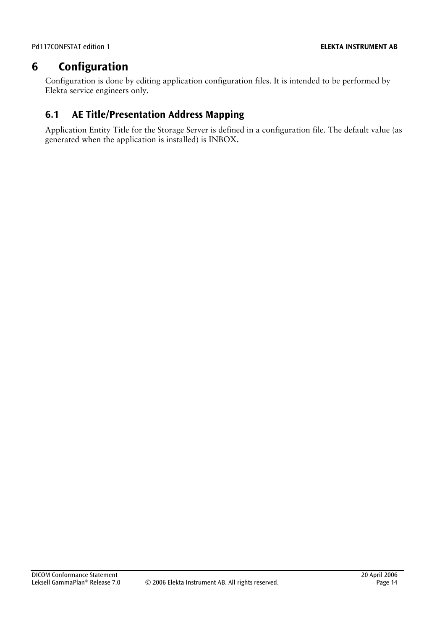## **6 Configuration**

<span id="page-13-0"></span>Configuration is done by editing application configuration files. It is intended to be performed by Elekta service engineers only.

## <span id="page-13-1"></span>**6.1 AE Title/Presentation Address Mapping**

Application Entity Title for the Storage Server is defined in a configuration file. The default value (as generated when the application is installed) is INBOX.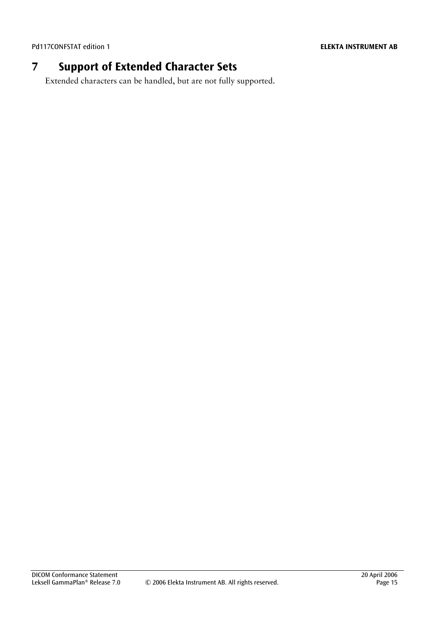## **7 Support of Extended Character Sets**

<span id="page-14-0"></span>Extended characters can be handled, but are not fully supported.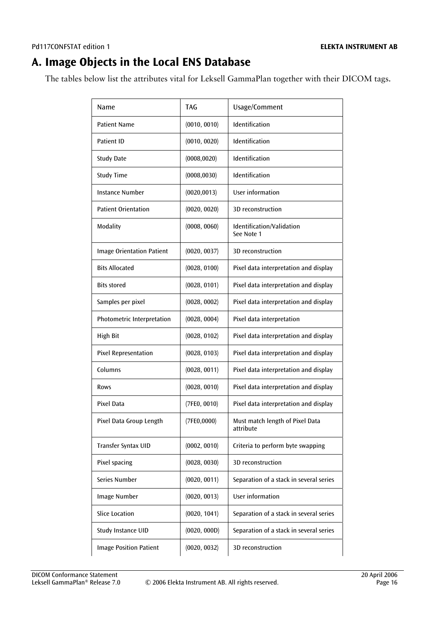## <span id="page-15-0"></span>**A. Image Objects in the Local ENS Database**

The tables below list the attributes vital for Leksell GammaPlan together with their DICOM tags.

| Name                             | <b>TAG</b>   | Usage/Comment                                |
|----------------------------------|--------------|----------------------------------------------|
| <b>Patient Name</b>              | (0010, 0010) | Identification                               |
| Patient ID                       | (0010, 0020) | Identification                               |
| <b>Study Date</b>                | (0008, 0020) | Identification                               |
| <b>Study Time</b>                | (0008, 0030) | Identification                               |
| <b>Instance Number</b>           | (0020, 0013) | User information                             |
| <b>Patient Orientation</b>       | (0020, 0020) | 3D reconstruction                            |
| Modality                         | (0008, 0060) | Identification/Validation<br>See Note 1      |
| <b>Image Orientation Patient</b> | (0020, 0037) | 3D reconstruction                            |
| <b>Bits Allocated</b>            | (0028, 0100) | Pixel data interpretation and display        |
| <b>Bits stored</b>               | (0028, 0101) | Pixel data interpretation and display        |
| Samples per pixel                | (0028, 0002) | Pixel data interpretation and display        |
| Photometric Interpretation       | (0028, 0004) | Pixel data interpretation                    |
| <b>High Bit</b>                  | (0028, 0102) | Pixel data interpretation and display        |
| <b>Pixel Representation</b>      | (0028, 0103) | Pixel data interpretation and display        |
| Columns                          | (0028, 0011) | Pixel data interpretation and display        |
| Rows                             | (0028, 0010) | Pixel data interpretation and display        |
| Pixel Data                       | (7FE0, 0010) | Pixel data interpretation and display        |
| Pixel Data Group Length          | (7FE0,0000)  | Must match length of Pixel Data<br>attribute |
| Transfer Syntax UID              | (0002, 0010) | Criteria to perform byte swapping            |
| Pixel spacing                    | (0028, 0030) | 3D reconstruction                            |
| Series Number                    | (0020, 0011) | Separation of a stack in several series      |
| Image Number                     | (0020, 0013) | User information                             |
| <b>Slice Location</b>            | (0020, 1041) | Separation of a stack in several series      |
| Study Instance UID               | (0020, 000D) | Separation of a stack in several series      |
| <b>Image Position Patient</b>    | (0020, 0032) | 3D reconstruction                            |